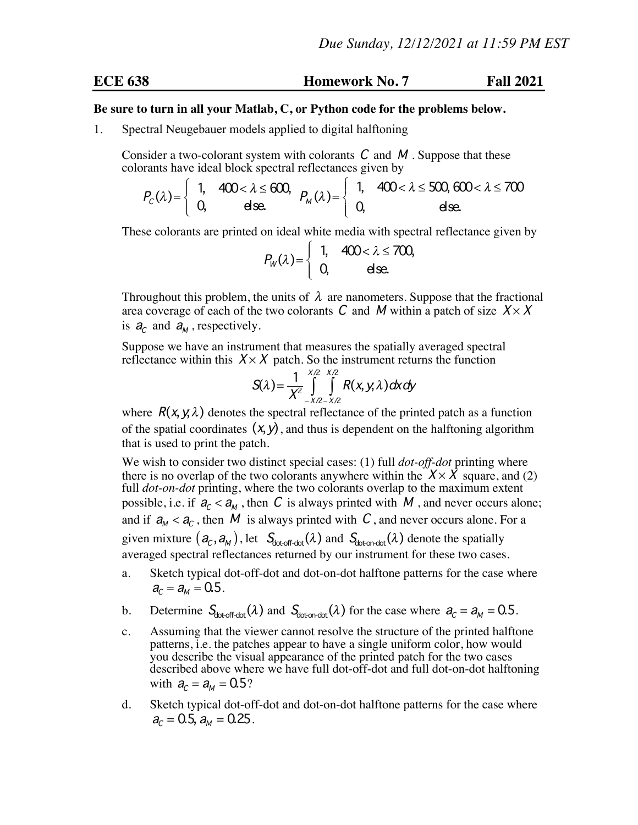## **ECE 638 Homework No. 7 Fall 2021**

## **Be sure to turn in all your Matlab, C, or Python code for the problems below.**

1. Spectral Neugebauer models applied to digital halftoning

Consider a two-colorant system with colorants  $C$  and  $M$ . Suppose that these colorants have ideal block spectral reflectances given by

$$
P_c(\lambda) = \begin{cases} 1, & 400 < \lambda \le 600, \\ 0, & \text{else.} \end{cases} P_M(\lambda) = \begin{cases} 1, & 400 < \lambda \le 500, 600 < \lambda \le 700 \\ 0, & \text{else.} \end{cases}
$$

These colorants are printed on ideal white media with spectral reflectance given by

$$
P_W(\lambda) = \left\{ \begin{array}{ll} 1, & 400 < \lambda \leq 700, \\ 0, & \text{else.} \end{array} \right.
$$

Throughout this problem, the units of  $\lambda$  are nanometers. Suppose that the fractional area coverage of each of the two colorants C and M within a patch of size  $X \times X$ is  $a_c$  and  $a_M$ , respectively.

Suppose we have an instrument that measures the spatially averaged spectral reflectance within this  $X \times X$  patch. So the instrument returns the function

$$
S(\lambda) = \frac{1}{X^2} \int_{-X/2-X/2}^{X/2} R(x, y, \lambda) dx dy
$$

where  $R(x, y, \lambda)$  denotes the spectral reflectance of the printed patch as a function of the spatial coordinates  $(x, y)$ , and thus is dependent on the halftoning algorithm that is used to print the patch.

We wish to consider two distinct special cases: (1) full *dot-off-dot* printing where there is no overlap of the two colorants anywhere within the  $X \times X$  square, and (2) full *dot-on-dot* printing, where the two colorants overlap to the maximum extent possible, i.e. if  $a_c < a_M$ , then C is always printed with M, and never occurs alone; and if  $a_M < a_C$ , then M is always printed with C, and never occurs alone. For a given mixture  $(a_c, a_M)$ , let  $S_{\text{dot-off-dot}}(\lambda)$  and  $S_{\text{dot-off-dot}}(\lambda)$  denote the spatially averaged spectral reflectances returned by our instrument for these two cases.

- a. Sketch typical dot-off-dot and dot-on-dot halftone patterns for the case where  $a_c = a_M = 0.5$ .
- b. Determine  $S_{\text{dot-off-dot}}(\lambda)$  and  $S_{\text{dot-opt}}(\lambda)$  for the case where  $a_c = a_M = 0.5$ .
- c. Assuming that the viewer cannot resolve the structure of the printed halftone patterns, i.e. the patches appear to have a single uniform color, how would you describe the visual appearance of the printed patch for the two cases described above where we have full dot-off-dot and full dot-on-dot halftoning with  $a_c = a_M = 0.5$ ?
- d. Sketch typical dot-off-dot and dot-on-dot halftone patterns for the case where  $a_c = 0.5$ ,  $a_M = 0.25$ .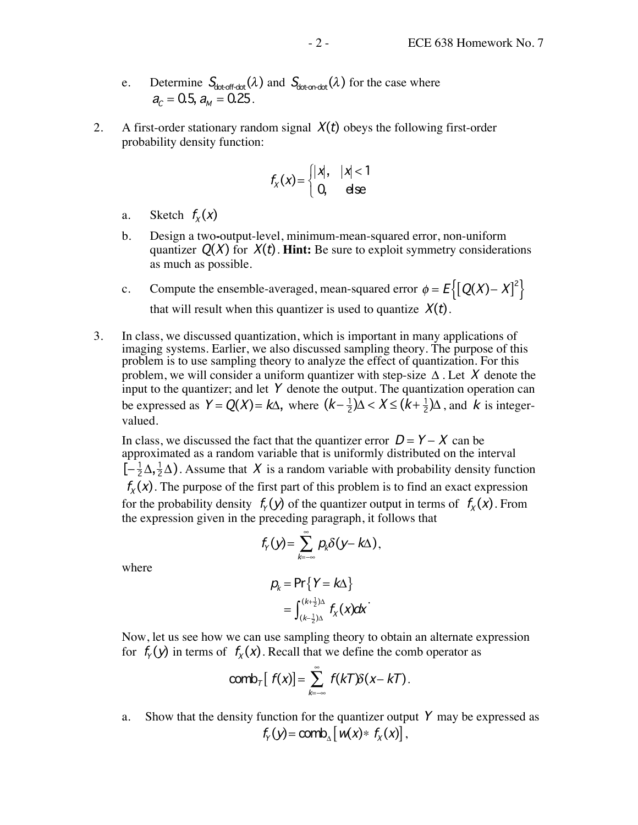- e. Determine  $S_{\text{dot-off-dot}}(\lambda)$  and  $S_{\text{dotondot}}(\lambda)$  for the case where  $a_c = 0.5$ ,  $a_M = 0.25$ .
- 2. A first-order stationary random signal  $X(t)$  obeys the following first-order probability density function:

$$
f_{\chi}(x) = \begin{cases} |x|, & |x| < 1 \\ 0, & \text{else} \end{cases}
$$

- a. Sketch  $f_X(x)$
- b. Design a two**-**output-level, minimum-mean-squared error, non-uniform quantizer  $Q(X)$  for  $X(t)$ . **Hint:** Be sure to exploit symmetry considerations as much as possible.
- c. Compute the ensemble-averaged, mean-squared error  $\phi = E\left\{[Q(X) X]^2\right\}$ that will result when this quantizer is used to quantize  $X(t)$ .
- 3. In class, we discussed quantization, which is important in many applications of imaging systems. Earlier, we also discussed sampling theory. The purpose of this problem is to use sampling theory to analyze the effect of quantization. For this problem, we will consider a uniform quantizer with step-size  $\Delta$ . Let X denote the input to the quantizer; and let  $Y$  denote the output. The quantization operation can be expressed as  $Y = Q(X) = k\Delta$ , where  $(k - \frac{1}{2})\Delta < X \le (k + \frac{1}{2})\Delta$ , and k is integervalued.

In class, we discussed the fact that the quantizer error  $D = Y - X$  can be approximated as a random variable that is uniformly distributed on the interval  $\left[-\frac{1}{2}\Delta, \frac{1}{2}\Delta\right)$ . Assume that X is a random variable with probability density function  $f_{x}(x)$ . The purpose of the first part of this problem is to find an exact expression for the probability density  $f_{\gamma}(y)$  of the quantizer output in terms of  $f_{\gamma}(x)$ . From the expression given in the preceding paragraph, it follows that

$$
f_Y(y) = \sum_{k=-\infty}^{\infty} p_k \delta(y - k\Delta),
$$

where

$$
p_k = \Pr\{Y = k\Delta\}
$$
  
= 
$$
\int_{(k-\frac{1}{2})\Delta}^{(k+\frac{1}{2})\Delta} f_X(x) dx
$$

Now, let us see how we can use sampling theory to obtain an alternate expression for  $f_{\gamma}(y)$  in terms of  $f_{\chi}(x)$ . Recall that we define the comb operator as

$$
\text{comb}_{\tau}[f(x)] = \sum_{k=-\infty}^{\infty} f(kT)\delta(x-kT).
$$

a. Show that the density function for the quantizer output  $Y$  may be expressed as  $f_{\mathcal{Y}}(\mathbf{y}) = \text{comb}_{\mathbf{y}} \left[ \mathbf{w}(\mathbf{x}) \ast f_{\mathbf{y}}(\mathbf{x}) \right],$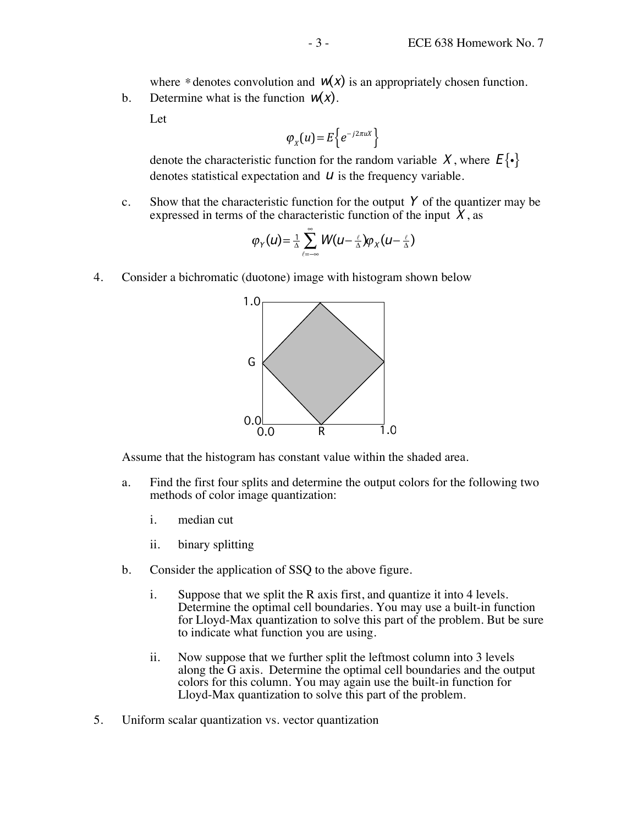where \* denotes convolution and  $W(x)$  is an appropriately chosen function.

b. Determine what is the function  $w(x)$ .

Let

$$
\varphi_{X}(u) = E\left\{e^{-j2\pi u X}\right\}
$$

denote the characteristic function for the random variable X, where  $E\{\cdot\}$ denotes statistical expectation and  $U$  is the frequency variable.

c. Show that the characteristic function for the output  $Y$  of the quantizer may be expressed in terms of the characteristic function of the input  $\hat{X}$ , as

$$
\varphi_Y(u) = \frac{1}{\Delta} \sum_{\ell=-\infty}^{\infty} W(u - \frac{\ell}{\Delta}) \varphi_X(u - \frac{\ell}{\Delta})
$$

4. Consider a bichromatic (duotone) image with histogram shown below



Assume that the histogram has constant value within the shaded area.

- a. Find the first four splits and determine the output colors for the following two methods of color image quantization:
	- i. median cut
	- ii. binary splitting
- b. Consider the application of SSQ to the above figure.
	- i. Suppose that we split the R axis first, and quantize it into 4 levels. Determine the optimal cell boundaries. You may use a built-in function for Lloyd-Max quantization to solve this part of the problem. But be sure to indicate what function you are using.
	- ii. Now suppose that we further split the leftmost column into 3 levels along the G axis. Determine the optimal cell boundaries and the output colors for this column. You may again use the built-in function for Lloyd-Max quantization to solve this part of the problem.
- 5. Uniform scalar quantization vs. vector quantization